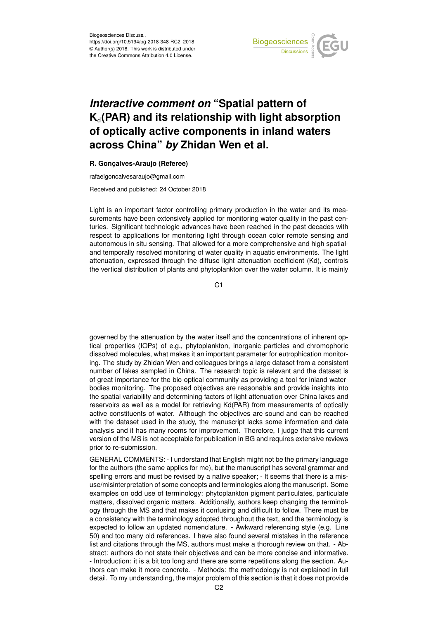

## *Interactive comment on* **"Spatial pattern of K**d**(PAR) and its relationship with light absorption of optically active components in inland waters across China"** *by* **Zhidan Wen et al.**

## **R. Gonçalves-Araujo (Referee)**

rafaelgoncalvesaraujo@gmail.com

Received and published: 24 October 2018

Light is an important factor controlling primary production in the water and its measurements have been extensively applied for monitoring water quality in the past centuries. Significant technologic advances have been reached in the past decades with respect to applications for monitoring light through ocean color remote sensing and autonomous in situ sensing. That allowed for a more comprehensive and high spatialand temporally resolved monitoring of water quality in aquatic environments. The light attenuation, expressed through the diffuse light attenuation coefficient (Kd), controls the vertical distribution of plants and phytoplankton over the water column. It is mainly

C1

governed by the attenuation by the water itself and the concentrations of inherent optical properties (IOPs) of e.g., phytoplankton, inorganic particles and chromophoric dissolved molecules, what makes it an important parameter for eutrophication monitoring. The study by Zhidan Wen and colleagues brings a large dataset from a consistent number of lakes sampled in China. The research topic is relevant and the dataset is of great importance for the bio-optical community as providing a tool for inland waterbodies monitoring. The proposed objectives are reasonable and provide insights into the spatial variability and determining factors of light attenuation over China lakes and reservoirs as well as a model for retrieving Kd(PAR) from measurements of optically active constituents of water. Although the objectives are sound and can be reached with the dataset used in the study, the manuscript lacks some information and data analysis and it has many rooms for improvement. Therefore, I judge that this current version of the MS is not acceptable for publication in BG and requires extensive reviews prior to re-submission.

GENERAL COMMENTS: - I understand that English might not be the primary language for the authors (the same applies for me), but the manuscript has several grammar and spelling errors and must be revised by a native speaker; - It seems that there is a misuse/misinterpretation of some concepts and terminologies along the manuscript. Some examples on odd use of terminology: phytoplankton pigment particulates, particulate matters, dissolved organic matters. Additionally, authors keep changing the terminology through the MS and that makes it confusing and difficult to follow. There must be a consistency with the terminology adopted throughout the text, and the terminology is expected to follow an updated nomenclature. - Awkward referencing style (e.g. Line 50) and too many old references. I have also found several mistakes in the reference list and citations through the MS, authors must make a thorough review on that. - Abstract: authors do not state their objectives and can be more concise and informative. - Introduction: it is a bit too long and there are some repetitions along the section. Authors can make it more concrete. - Methods: the methodology is not explained in full detail. To my understanding, the major problem of this section is that it does not provide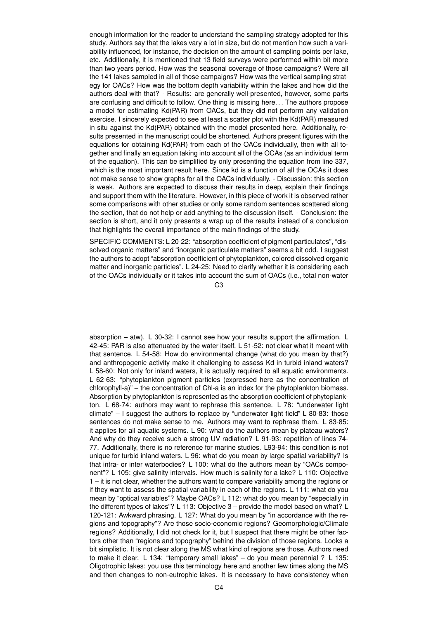enough information for the reader to understand the sampling strategy adopted for this study. Authors say that the lakes vary a lot in size, but do not mention how such a variability influenced, for instance, the decision on the amount of sampling points per lake, etc. Additionally, it is mentioned that 13 field surveys were performed within bit more than two years period. How was the seasonal coverage of those campaigns? Were all the 141 lakes sampled in all of those campaigns? How was the vertical sampling strategy for OACs? How was the bottom depth variability within the lakes and how did the authors deal with that? - Results: are generally well-presented, however, some parts are confusing and difficult to follow. One thing is missing here. . . The authors propose a model for estimating Kd(PAR) from OACs, but they did not perform any validation exercise. I sincerely expected to see at least a scatter plot with the Kd(PAR) measured in situ against the Kd(PAR) obtained with the model presented here. Additionally, results presented in the manuscript could be shortened. Authors present figures with the equations for obtaining Kd(PAR) from each of the OACs individually, then with all together and finally an equation taking into account all of the OCAs (as an individual term of the equation). This can be simplified by only presenting the equation from line 337, which is the most important result here. Since kd is a function of all the OCAs it does not make sense to show graphs for all the OACs individually. - Discussion: this section is weak. Authors are expected to discuss their results in deep, explain their findings and support them with the literature. However, in this piece of work it is observed rather some comparisons with other studies or only some random sentences scattered along the section, that do not help or add anything to the discussion itself. - Conclusion: the section is short, and it only presents a wrap up of the results instead of a conclusion that highlights the overall importance of the main findings of the study.

SPECIFIC COMMENTS: L 20-22: "absorption coefficient of pigment particulates", "dissolved organic matters" and "inorganic particulate matters" seems a bit odd. I suggest the authors to adopt "absorption coefficient of phytoplankton, colored dissolved organic matter and inorganic particles". L 24-25: Need to clarify whether it is considering each of the OACs individually or it takes into account the sum of OACs (i.e., total non-water

 $C<sub>3</sub>$ 

absorption – atw). L 30-32: I cannot see how your results support the affirmation. L 42-45: PAR is also attenuated by the water itself. L 51-52: not clear what it meant with that sentence. L 54-58: How do environmental change (what do you mean by that?) and anthropogenic activity make it challenging to assess Kd in turbid inland waters? L 58-60: Not only for inland waters, it is actually required to all aquatic environments. L 62-63: "phytoplankton pigment particles (expressed here as the concentration of chlorophyll-a)" – the concentration of Chl-a is an index for the phytoplankton biomass. Absorption by phytoplankton is represented as the absorption coefficient of phytoplankton. L 68-74: authors may want to rephrase this sentence. L 78: "underwater light climate" – I suggest the authors to replace by "underwater light field" L 80-83: those sentences do not make sense to me. Authors may want to rephrase them. L 83-85: it applies for all aquatic systems. L 90: what do the authors mean by plateau waters? And why do they receive such a strong UV radiation? L 91-93: repetition of lines 74- 77. Additionally, there is no reference for marine studies. L93-94: this condition is not unique for turbid inland waters. L 96: what do you mean by large spatial variability? Is that intra- or inter waterbodies? L 100: what do the authors mean by "OACs component"? L 105: give salinity intervals. How much is salinity for a lake? L 110: Objective 1 – it is not clear, whether the authors want to compare variability among the regions or if they want to assess the spatial variability in each of the regions. L 111: what do you mean by "optical variables"? Maybe OACs? L 112: what do you mean by "especially in the different types of lakes"? L 113: Objective 3 – provide the model based on what? L 120-121: Awkward phrasing. L 127: What do you mean by "in accordance with the regions and topography"? Are those socio-economic regions? Geomorphologic/Climate regions? Additionally, I did not check for it, but I suspect that there might be other factors other than "regions and topography" behind the division of those regions. Looks a bit simplistic. It is not clear along the MS what kind of regions are those. Authors need to make it clear. L 134: "temporary small lakes" – do you mean perennial ? L 135: Oligotrophic lakes: you use this terminology here and another few times along the MS and then changes to non-eutrophic lakes. It is necessary to have consistency when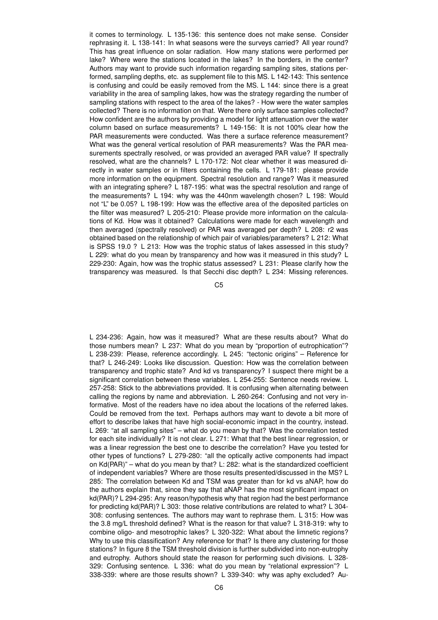it comes to terminology. L 135-136: this sentence does not make sense. Consider rephrasing it. L 138-141: In what seasons were the surveys carried? All year round? This has great influence on solar radiation. How many stations were performed per lake? Where were the stations located in the lakes? In the borders, in the center? Authors may want to provide such information regarding sampling sites, stations performed, sampling depths, etc. as supplement file to this MS. L 142-143: This sentence is confusing and could be easily removed from the MS. L 144: since there is a great variability in the area of sampling lakes, how was the strategy regarding the number of sampling stations with respect to the area of the lakes? - How were the water samples collected? There is no information on that. Were there only surface samples collected? How confident are the authors by providing a model for light attenuation over the water column based on surface measurements? L 149-156: It is not 100% clear how the PAR measurements were conducted. Was there a surface reference measurement? What was the general vertical resolution of PAR measurements? Was the PAR measurements spectrally resolved, or was provided an averaged PAR value? If spectrally resolved, what are the channels? L 170-172: Not clear whether it was measured directly in water samples or in filters containing the cells. L 179-181: please provide more information on the equipment. Spectral resolution and range? Was it measured with an integrating sphere? L 187-195: what was the spectral resolution and range of the measurements? L 194: why was the 440nm wavelength chosen? L 198: Would not "L" be 0.05? L 198-199: How was the effective area of the deposited particles on the filter was measured? L 205-210: Please provide more information on the calculations of Kd. How was it obtained? Calculations were made for each wavelength and then averaged (spectrally resolved) or PAR was averaged per depth? L 208: r2 was obtained based on the relationship of which pair of variables/parameters? L 212: What is SPSS 19.0 ? L 213: How was the trophic status of lakes assessed in this study? L 229: what do you mean by transparency and how was it measured in this study? L 229-230: Again, how was the trophic status assessed? L 231: Please clarify how the transparency was measured. Is that Secchi disc depth? L 234: Missing references.

C5

L 234-236: Again, how was it measured? What are these results about? What do those numbers mean? L 237: What do you mean by "proportion of eutrophication"? L 238-239: Please, reference accordingly. L 245: "tectonic origins" – Reference for that? L 246-249: Looks like discussion. Question: How was the correlation between transparency and trophic state? And kd vs transparency? I suspect there might be a significant correlation between these variables. L 254-255: Sentence needs review. L 257-258: Stick to the abbreviations provided. It is confusing when alternating between calling the regions by name and abbreviation. L 260-264: Confusing and not very informative. Most of the readers have no idea about the locations of the referred lakes. Could be removed from the text. Perhaps authors may want to devote a bit more of effort to describe lakes that have high social-economic impact in the country, instead. L 269: "at all sampling sites" – what do you mean by that? Was the correlation tested for each site individually? It is not clear. L 271: What that the best linear regression, or was a linear regression the best one to describe the correlation? Have you tested for other types of functions? L 279-280: "all the optically active components had impact on Kd(PAR)" – what do you mean by that? L: 282: what is the standardized coefficient of independent variables? Where are those results presented/discussed in the MS? L 285: The correlation between Kd and TSM was greater than for kd vs aNAP, how do the authors explain that, since they say that aNAP has the most significant impact on kd(PAR)? L 294-295: Any reason/hypothesis why that region had the best performance for predicting kd(PAR)? L 303: those relative contributions are related to what? L 304- 308: confusing sentences. The authors may want to rephrase them. L 315: How was the 3.8 mg/L threshold defined? What is the reason for that value? L 318-319: why to combine oligo- and mesotrophic lakes? L 320-322: What about the limnetic regions? Why to use this classification? Any reference for that? Is there any clustering for those stations? In figure 8 the TSM threshold division is further subdivided into non-eutrophy and eutrophy. Authors should state the reason for performing such divisions. L 328- 329: Confusing sentence. L 336: what do you mean by "relational expression"? L 338-339: where are those results shown? L 339-340: why was aphy excluded? Au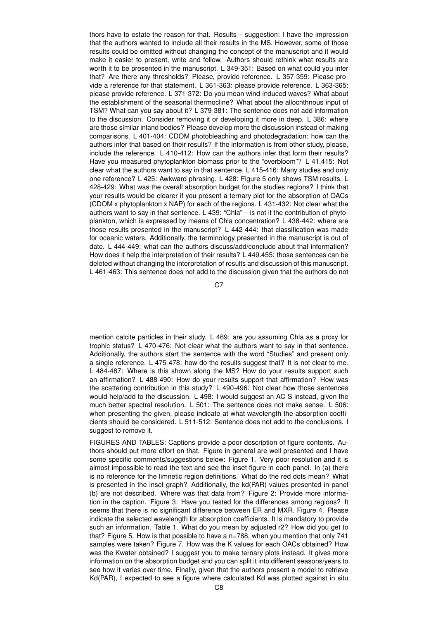thors have to estate the reason for that. Results – suggestion: I have the impression that the authors wanted to include all their results in the MS. However, some of those results could be omitted without changing the concept of the manuscript and it would make it easier to present, write and follow. Authors should rethink what results are worth it to be presented in the manuscript. L 349-351: Based on what could you infer that? Are there any thresholds? Please, provide reference. L 357-359: Please provide a reference for that statement. L 361-363: please provide reference. L 363-365: please provide reference. L 371-372: Do you mean wind-induced waves? What about the establishment of the seasonal thermocline? What about the allochthnous input of TSM? What can you say about it? L 379-381: The sentence does not add information to the discussion. Consider removing it or developing it more in deep. L 386: where are those similar inland bodies? Please develop more the discussion instead of making comparisons. L 401-404: CDOM photobleaching and photodegradation: how can the authors infer that based on their results? If the information is from other study, please, include the reference. L 410-412: How can the authors infer that form their results? Have you measured phytoplankton biomass prior to the "overbloom"? L 41.415: Not clear what the authors want to say in that sentence. L 415-416: Many studies and only one reference? L 425: Awkward phrasing. L 428: Figure 5 only shows TSM results. L 428-429: What was the overall absorption budget for the studies regions? I think that your results would be clearer if you present a ternary plot for the absorption of OACs (CDOM x phytoplankton x NAP) for each of the regions. L 431-432: Not clear what the authors want to say in that sentence. L 439: "Chla" – is not it the contribution of phytoplankton, which is expressed by means of Chla concentration? L 438-442: where are those results presented in the manuscript? L 442-444: that classification was made for oceanic waters. Additionally, the terminology presented in the manuscript is out of date. L 444-449: what can the authors discuss/add/conclude about that information? How does it help the interpretation of their results? L 449.455: those sentences can be deleted without changing the interpretation of results and discussion of this manuscript. L 461-463: This sentence does not add to the discussion given that the authors do not

 $C<sub>7</sub>$ 

mention calcite particles in their study. L 469: are you assuming Chla as a proxy for trophic status? L 470-476: Not clear what the authors want to say in that sentence. Additionally, the authors start the sentence with the word "Studies" and present only a single reference. L 475-478: how do the results suggest that? It is not clear to me. L 484-487: Where is this shown along the MS? How do your results support such an affirmation? L 488-490: How do your results support that affirmation? How was the scattering contribution in this study? L 490-496: Not clear how those sentences would help/add to the discussion. L 498: I would suggest an AC-S instead, given the much better spectral resolution. L 501: The sentence does not make sense. L 506: when presenting the given, please indicate at what wavelength the absorption coefficients should be considered. L 511-512: Sentence does not add to the conclusions. I suggest to remove it.

FIGURES AND TABLES: Captions provide a poor description of figure contents. Authors should put more effort on that. Figure in general are well presented and I have some specific comments/suggestions below: Figure 1. Very poor resolution and it is almost impossible to read the text and see the inset figure in each panel. In (a) there is no reference for the limnetic region definitions. What do the red dots mean? What is presented in the inset graph? Additionally, the kd(PAR) values presented in panel (b) are not described. Where was that data from? Figure 2: Provide more information in the caption. Figure 3: Have you tested for the differences among regions? It seems that there is no significant difference between ER and MXR. Figure 4. Please indicate the selected wavelength for absorption coefficients. It is mandatory to provide such an information. Table 1. What do you mean by adjusted r2? How did you get to that? Figure 5. How is that possible to have a n=788, when you mention that only 741 samples were taken? Figure 7. How was the K values for each OACs obtained? How was the Kwater obtained? I suggest you to make ternary plots instead. It gives more information on the absorption budget and you can split it into different seasons/years to see how it varies over time. Finally, given that the authors present a model to retrieve Kd(PAR), I expected to see a figure where calculated Kd was plotted against in situ